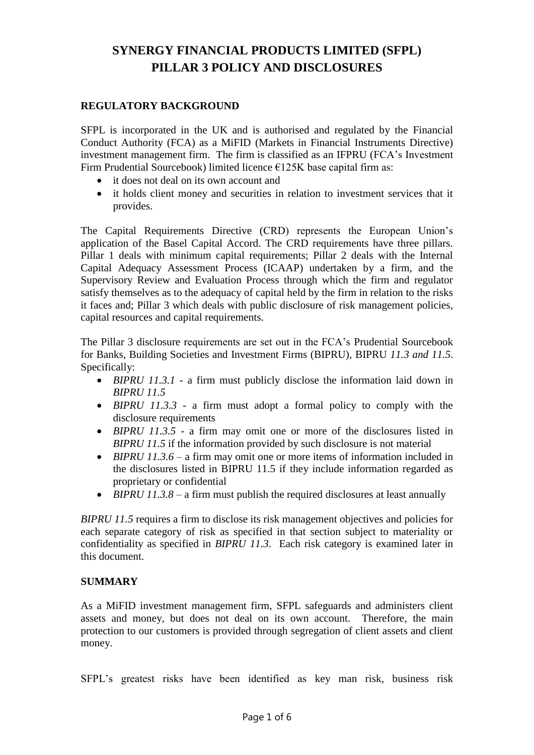# **SYNERGY FINANCIAL PRODUCTS LIMITED (SFPL) PILLAR 3 POLICY AND DISCLOSURES**

#### **REGULATORY BACKGROUND**

SFPL is incorporated in the UK and is authorised and regulated by the Financial Conduct Authority (FCA) as a MiFID (Markets in Financial Instruments Directive) investment management firm. The firm is classified as an IFPRU (FCA's Investment Firm Prudential Sourcebook) limited licence  $E125K$  base capital firm as:

- it does not deal on its own account and
- it holds client money and securities in relation to investment services that it provides.

The Capital Requirements Directive (CRD) represents the European Union's application of the Basel Capital Accord. The CRD requirements have three pillars. Pillar 1 deals with minimum capital requirements; Pillar 2 deals with the Internal Capital Adequacy Assessment Process (ICAAP) undertaken by a firm, and the Supervisory Review and Evaluation Process through which the firm and regulator satisfy themselves as to the adequacy of capital held by the firm in relation to the risks it faces and; Pillar 3 which deals with public disclosure of risk management policies, capital resources and capital requirements.

The Pillar 3 disclosure requirements are set out in the FCA's Prudential Sourcebook for Banks, Building Societies and Investment Firms (BIPRU), BIPRU *11.3 and 11.5*. Specifically:

- *BIPRU 11.3.1* a firm must publicly disclose the information laid down in *BIPRU 11.5*
- *BIPRU 11.3.3* a firm must adopt a formal policy to comply with the disclosure requirements
- *BIPRU 11.3.5* a firm may omit one or more of the disclosures listed in *BIPRU 11.5* if the information provided by such disclosure is not material
- *BIPRU 11.3.6* a firm may omit one or more items of information included in the disclosures listed in BIPRU 11.5 if they include information regarded as proprietary or confidential
- *BIPRU 11.3.8* a firm must publish the required disclosures at least annually

*BIPRU 11.5* requires a firm to disclose its risk management objectives and policies for each separate category of risk as specified in that section subject to materiality or confidentiality as specified in *BIPRU 11.3*. Each risk category is examined later in this document.

#### **SUMMARY**

As a MiFID investment management firm, SFPL safeguards and administers client assets and money, but does not deal on its own account. Therefore, the main protection to our customers is provided through segregation of client assets and client money.

SFPL's greatest risks have been identified as key man risk, business risk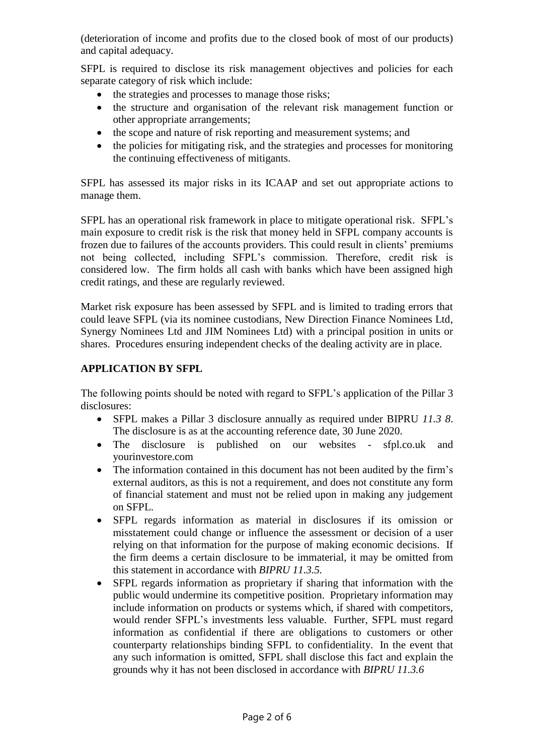(deterioration of income and profits due to the closed book of most of our products) and capital adequacy.

SFPL is required to disclose its risk management objectives and policies for each separate category of risk which include:

- the strategies and processes to manage those risks;
- the structure and organisation of the relevant risk management function or other appropriate arrangements;
- the scope and nature of risk reporting and measurement systems; and
- the policies for mitigating risk, and the strategies and processes for monitoring the continuing effectiveness of mitigants.

SFPL has assessed its major risks in its ICAAP and set out appropriate actions to manage them.

SFPL has an operational risk framework in place to mitigate operational risk. SFPL's main exposure to credit risk is the risk that money held in SFPL company accounts is frozen due to failures of the accounts providers. This could result in clients' premiums not being collected, including SFPL's commission. Therefore, credit risk is considered low. The firm holds all cash with banks which have been assigned high credit ratings, and these are regularly reviewed.

Market risk exposure has been assessed by SFPL and is limited to trading errors that could leave SFPL (via its nominee custodians, New Direction Finance Nominees Ltd, Synergy Nominees Ltd and JIM Nominees Ltd) with a principal position in units or shares. Procedures ensuring independent checks of the dealing activity are in place.

## **APPLICATION BY SFPL**

The following points should be noted with regard to SFPL's application of the Pillar 3 disclosures:

- SFPL makes a Pillar 3 disclosure annually as required under BIPRU *11.3 8*. The disclosure is as at the accounting reference date, 30 June 2020.
- The disclosure is published on our websites sfpl.co.uk and yourinvestore.com
- The information contained in this document has not been audited by the firm's external auditors, as this is not a requirement, and does not constitute any form of financial statement and must not be relied upon in making any judgement on SFPL.
- SFPL regards information as material in disclosures if its omission or misstatement could change or influence the assessment or decision of a user relying on that information for the purpose of making economic decisions. If the firm deems a certain disclosure to be immaterial, it may be omitted from this statement in accordance with *BIPRU 11.3.5.*
- SFPL regards information as proprietary if sharing that information with the public would undermine its competitive position. Proprietary information may include information on products or systems which, if shared with competitors, would render SFPL's investments less valuable. Further, SFPL must regard information as confidential if there are obligations to customers or other counterparty relationships binding SFPL to confidentiality. In the event that any such information is omitted, SFPL shall disclose this fact and explain the grounds why it has not been disclosed in accordance with *BIPRU 11.3.6*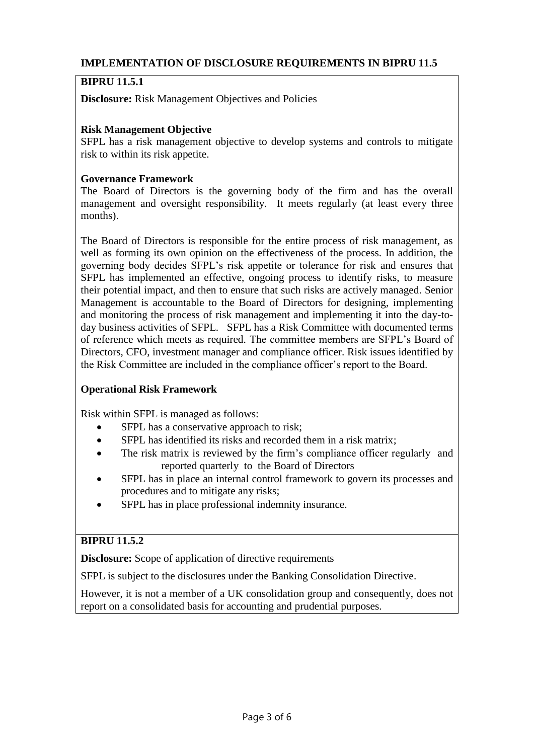## **IMPLEMENTATION OF DISCLOSURE REQUIREMENTS IN BIPRU 11.5**

# **BIPRU 11.5.1**

**Disclosure:** Risk Management Objectives and Policies

## **Risk Management Objective**

SFPL has a risk management objective to develop systems and controls to mitigate risk to within its risk appetite.

#### **Governance Framework**

The Board of Directors is the governing body of the firm and has the overall management and oversight responsibility. It meets regularly (at least every three months).

The Board of Directors is responsible for the entire process of risk management, as well as forming its own opinion on the effectiveness of the process. In addition, the governing body decides SFPL's risk appetite or tolerance for risk and ensures that SFPL has implemented an effective, ongoing process to identify risks, to measure their potential impact, and then to ensure that such risks are actively managed. Senior Management is accountable to the Board of Directors for designing, implementing and monitoring the process of risk management and implementing it into the day-today business activities of SFPL. SFPL has a Risk Committee with documented terms of reference which meets as required. The committee members are SFPL's Board of Directors, CFO, investment manager and compliance officer. Risk issues identified by the Risk Committee are included in the compliance officer's report to the Board.

#### **Operational Risk Framework**

Risk within SFPL is managed as follows:

- SFPL has a conservative approach to risk;
- SFPL has identified its risks and recorded them in a risk matrix;
- The risk matrix is reviewed by the firm's compliance officer regularly and reported quarterly to the Board of Directors
- SFPL has in place an internal control framework to govern its processes and procedures and to mitigate any risks;
- SFPL has in place professional indemnity insurance.

# **BIPRU 11.5.2**

**Disclosure:** Scope of application of directive requirements

SFPL is subject to the disclosures under the [Banking Consolidation Directive.](http://fsahandbook.info/FSA/glossary-html/handbook/Glossary/B?definition=G99)

However, it is not a member of a UK consolidation group and consequently, does not report on a consolidated basis for accounting and prudential purposes.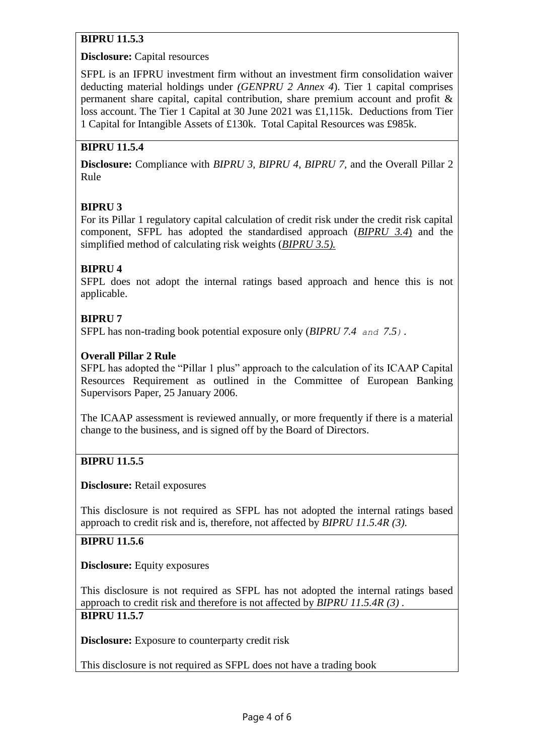# **BIPRU 11.5.3**

## **Disclosure:** Capital resources

SFPL is an IFPRU investment firm without an investment firm consolidation waiver deducting material holdings under *[\(GENPRU 2 Annex 4](http://fshandbook.info/FS/html/FCA/GENPRU/2/Annex4)*). Tier 1 capital comprises permanent share capital, capital contribution, share premium account and profit & loss account. The Tier 1 Capital at 30 June 2021 was £1,115k. Deductions from Tier 1 Capital for Intangible Assets of £130k. Total Capital Resources was £985k.

# **BIPRU 11.5.4**

**Disclosure:** Compliance with *BIPRU 3, BIPRU 4, BIPRU 7,* and the Overall Pillar 2 Rule

# **BIPRU 3**

For its Pillar 1 regulatory capital calculation of credit risk under the credit risk capital component, SFPL has adopted the standardised approach (*[BIPRU 3.4](http://fshandbook.info/FS/html/FCA/BIPRU/3/4)*) and the simplified method of calculating risk weights (*[BIPRU 3.5\)](http://fshandbook.info/FS/html/FCA/BIPRU/3/5).*

# **BIPRU 4**

SFPL does not adopt the internal ratings based approach and hence this is not applicable.

# **BIPRU 7**

SFPL has non-trading book potential exposure only (*[BIPRU 7.4](http://fshandbook.info/FS/html/FCA/BIPRU/7/4) and [7.5](http://fshandbook.info/FS/html/FCA/BIPRU/7/5)).*

## **Overall Pillar 2 Rule**

SFPL has adopted the "Pillar 1 plus" approach to the calculation of its ICAAP Capital Resources Requirement as outlined in the Committee of European Banking Supervisors Paper, 25 January 2006.

The ICAAP assessment is reviewed annually, or more frequently if there is a material change to the business, and is signed off by the Board of Directors.

# **BIPRU 11.5.5**

#### **Disclosure:** Retail exposures

This disclosure is not required as SFPL has not adopted the internal ratings based approach to credit risk and is, therefore, not affected by *[BIPRU 11.5.4R \(3\).](http://fshandbook.info/FS/html/FCA/BIPRU/11/5)*

# **BIPRU 11.5.6**

**Disclosure:** Equity exposures

This disclosure is not required as SFPL has not adopted the internal ratings based approach to credit risk and therefore is not affected by *[BIPRU 11.5.4R \(3\)](http://fshandbook.info/FS/html/FCA/BIPRU/11/5) .* **BIPRU 11.5.7**

**Disclosure:** Exposure to counterparty credit risk

This disclosure is not required as SFPL does not have a trading book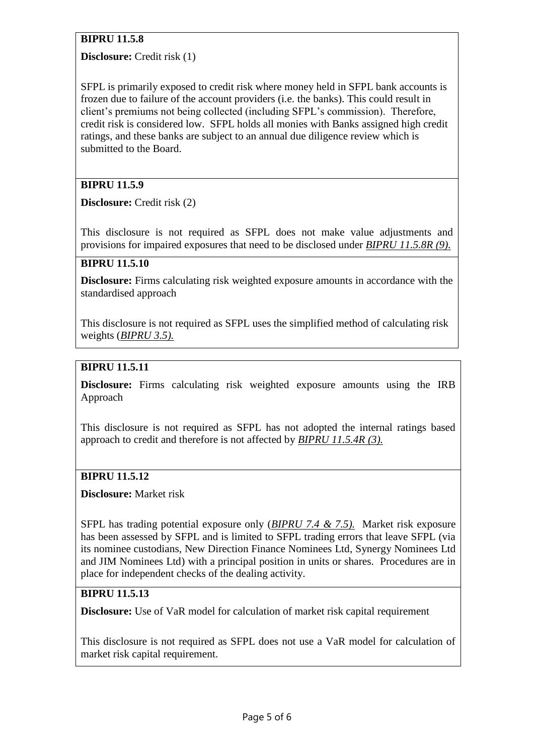# **BIPRU 11.5.8**

**Disclosure:** Credit risk (1)

SFPL is primarily exposed to credit risk where money held in SFPL bank accounts is frozen due to failure of the account providers (i.e. the banks). This could result in client's premiums not being collected (including SFPL's commission). Therefore, credit risk is considered low. SFPL holds all monies with Banks assigned high credit ratings, and these banks are subject to an annual due diligence review which is submitted to the Board.

# **BIPRU 11.5.9**

**Disclosure:** Credit risk (2)

This disclosure is not required as SFPL does not make value adjustments and provisions for impaired exposures that need to be disclosed under *[BIPRU 11.5.8R \(9\).](http://fshandbook.info/FS/html/FCA/BIPRU/11/5)*

#### **BIPRU 11.5.10**

**Disclosure:** Firms calculating risk weighted exposure amounts in accordance with the standardised approach

This disclosure is not required as SFPL uses the simplified method of calculating risk weights (*[BIPRU 3.5\)](http://fshandbook.info/FS/html/FCA/BIPRU/3/5).*

# **BIPRU 11.5.11**

**Disclosure:** Firms calculating risk weighted exposure amounts using the IRB Approach

This disclosure is not required as SFPL has not adopted the internal ratings based approach to credit and therefore is not affected by *[BIPRU 11.5.4R \(3\).](http://fshandbook.info/FS/html/FCA/BIPRU/11/5)*

#### **BIPRU 11.5.12**

**Disclosure:** Market risk

SFPL has trading potential exposure only (*[BIPRU 7.4](http://fshandbook.info/FS/html/FCA/BIPRU/10/5#D508http://fsahandbook.info/FSA/html/handbook/BIPRU/7/4) & [7.5\)](http://fshandbook.info/FS/html/FCA/BIPRU/10/5#D508http://fsahandbook.info/FSA/html/handbook/BIPRU/7/5).* Market risk exposure has been assessed by SFPL and is limited to SFPL trading errors that leave SFPL (via its nominee custodians, New Direction Finance Nominees Ltd, Synergy Nominees Ltd and JIM Nominees Ltd) with a principal position in units or shares. Procedures are in place for independent checks of the dealing activity.

## **BIPRU 11.5.13**

**Disclosure:** Use of VaR model for calculation of market risk capital requirement

This disclosure is not required as SFPL does not use a VaR model for calculation of market risk capital requirement.